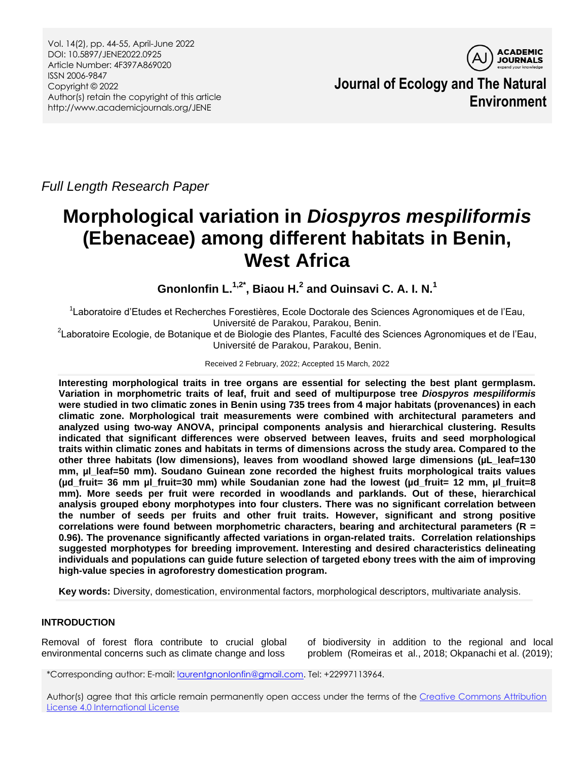

**Journal of Ecology and The Natural Environment**

*Full Length Research Paper*

# **Morphological variation in** *Diospyros mespiliformis* **(Ebenaceae) among different habitats in Benin, West Africa**

**Gnonlonfin L.1,2\* , Biaou H. 2 and Ouinsavi C. A. I. N.<sup>1</sup>**

<sup>1</sup> Laboratoire d'Etudes et Recherches Forestières, Ecole Doctorale des Sciences Agronomiques et de l'Eau, Université de Parakou, Parakou, Benin.

<sup>2</sup>Laboratoire Ecologie, de Botanique et de Biologie des Plantes, Faculté des Sciences Agronomiques et de l'Eau, Université de Parakou, Parakou, Benin.

Received 2 February, 2022; Accepted 15 March, 2022

**Interesting morphological traits in tree organs are essential for selecting the best plant germplasm. Variation in morphometric traits of leaf, fruit and seed of multipurpose tree** *Diospyros mespiliformis* **were studied in two climatic zones in Benin using 735 trees from 4 major habitats (provenances) in each climatic zone. Morphological trait measurements were combined with architectural parameters and analyzed using two-way ANOVA, principal components analysis and hierarchical clustering. Results indicated that significant differences were observed between leaves, fruits and seed morphological traits within climatic zones and habitats in terms of dimensions across the study area. Compared to the other three habitats (low dimensions), leaves from woodland showed large dimensions (µL\_leaf=130 mm, µl\_leaf=50 mm). Soudano Guinean zone recorded the highest fruits morphological traits values (µd\_fruit= 36 mm µl\_fruit=30 mm) while Soudanian zone had the lowest (µd\_fruit= 12 mm, µl\_fruit=8 mm). More seeds per fruit were recorded in woodlands and parklands. Out of these, hierarchical analysis grouped ebony morphotypes into four clusters. There was no significant correlation between the number of seeds per fruits and other fruit traits. However, significant and strong positive correlations were found between morphometric characters, bearing and architectural parameters (R = 0.96). The provenance significantly affected variations in organ-related traits. Correlation relationships suggested morphotypes for breeding improvement. Interesting and desired characteristics delineating individuals and populations can guide future selection of targeted ebony trees with the aim of improving high-value species in agroforestry domestication program.**

**Key words:** Diversity, domestication, environmental factors, morphological descriptors, multivariate analysis.

# **INTRODUCTION**

Removal of forest flora contribute to crucial global environmental concerns such as climate change and loss of biodiversity in addition to the regional and local problem (Romeiras et al., 2018; Okpanachi et al. (2019);

\*Corresponding author: E-mail[: laurentgnonlonfin@gmail.com.](mailto:laurentgnonlonfin@gmail.com) Tel: +22997113964.

Author(s) agree that this article remain permanently open access under the terms of the Creative Commons Attribution [License 4.0 International License](http://creativecommons.org/licenses/by/4.0/deed.en_US)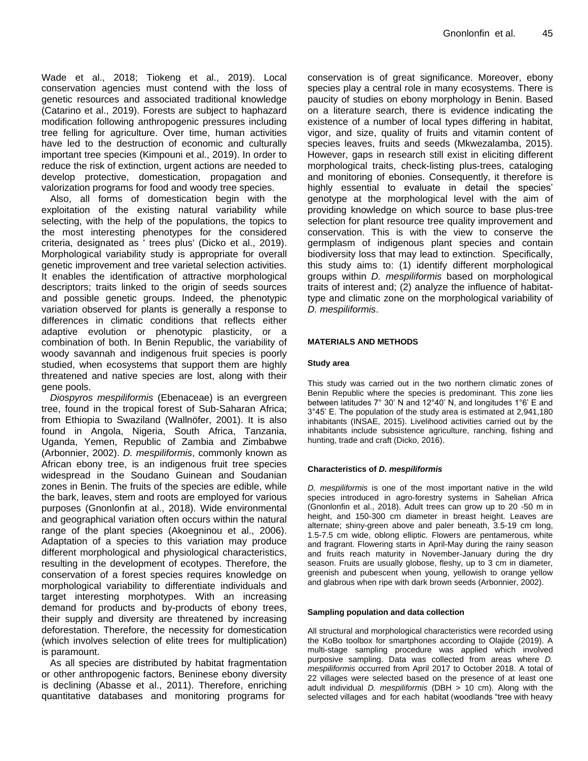Wade et al., 2018; Tiokeng et al., 2019). Local conservation agencies must contend with the loss of genetic resources and associated traditional knowledge (Catarino et al., 2019). Forests are subject to haphazard modification following anthropogenic pressures including tree felling for agriculture. Over time, human activities have led to the destruction of economic and culturally important tree species (Kimpouni et al., 2019). In order to reduce the risk of extinction, urgent actions are needed to develop protective, domestication, propagation and valorization programs for food and woody tree species.

Also, all forms of domestication begin with the exploitation of the existing natural variability while selecting, with the help of the populations, the topics to the most interesting phenotypes for the considered criteria, designated as ' trees plus' (Dicko et al., 2019). Morphological variability study is appropriate for overall genetic improvement and tree varietal selection activities. It enables the identification of attractive morphological descriptors; traits linked to the origin of seeds sources and possible genetic groups. Indeed, the phenotypic variation observed for plants is generally a response to differences in climatic conditions that reflects either adaptive evolution or phenotypic plasticity, or a combination of both. In Benin Republic, the variability of woody savannah and indigenous fruit species is poorly studied, when ecosystems that support them are highly threatened and native species are lost, along with their gene pools.

*Diospyros mespiliformis* (Ebenaceae) is an evergreen tree, found in the tropical forest of Sub-Saharan Africa; from Ethiopia to Swaziland (Wallnöfer, 2001). It is also found in Angola, Nigeria, South Africa, Tanzania, Uganda, Yemen, Republic of Zambia and Zimbabwe (Arbonnier, 2002). *D. mespiliformis*, commonly known as African ebony tree, is an indigenous fruit tree species widespread in the Soudano Guinean and Soudanian zones in Benin. The fruits of the species are edible, while the bark, leaves, stem and roots are employed for various purposes (Gnonlonfin at al., 2018). Wide environmental and geographical variation often occurs within the natural range of the plant species (Akoegninou et al., 2006). Adaptation of a species to this variation may produce different morphological and physiological characteristics, resulting in the development of ecotypes. Therefore, the conservation of a forest species requires knowledge on morphological variability to differentiate individuals and target interesting morphotypes. With an increasing demand for products and by-products of ebony trees, their supply and diversity are threatened by increasing deforestation. Therefore, the necessity for domestication (which involves selection of elite trees for multiplication) is paramount.

As all species are distributed by habitat fragmentation or other anthropogenic factors, Beninese ebony diversity is declining (Abasse et al., 2011). Therefore, enriching quantitative databases and monitoring programs for

conservation is of great significance. Moreover, ebony species play a central role in many ecosystems. There is paucity of studies on ebony morphology in Benin. Based on a literature search, there is evidence indicating the existence of a number of local types differing in habitat, vigor, and size, quality of fruits and vitamin content of species leaves, fruits and seeds (Mkwezalamba, 2015). However, gaps in research still exist in eliciting different morphological traits, check-listing plus-trees, cataloging and monitoring of ebonies. Consequently, it therefore is highly essential to evaluate in detail the species' genotype at the morphological level with the aim of providing knowledge on which source to base plus-tree selection for plant resource tree quality improvement and conservation. This is with the view to conserve the germplasm of indigenous plant species and contain biodiversity loss that may lead to extinction. Specifically, this study aims to: (1) identify different morphological groups within *D. mespiliformis* based on morphological traits of interest and; (2) analyze the influence of habitattype and climatic zone on the morphological variability of *D. mespiliformis*.

#### **MATERIALS AND METHODS**

#### **Study area**

This study was carried out in the two northern climatic zones of Benin Republic where the species is predominant. This zone lies between latitudes 7° 30' N and 12°40' N, and longitudes 1°6' E and 3°45' E. The population of the study area is estimated at 2,941,180 inhabitants (INSAE, 2015). Livelihood activities carried out by the inhabitants include subsistence agriculture, ranching, fishing and hunting, trade and craft (Dicko, 2016).

#### **Characteristics of** *D. mespiliformis*

*D. mespiliformis* is one of the most important native in the wild species introduced in agro-forestry systems in Sahelian Africa (Gnonlonfin et al., 2018). Adult trees can grow up to 20 -50 m in height, and 150-300 cm diameter in breast height. Leaves are alternate; shiny-green above and paler beneath, 3.5-19 cm long, 1.5-7.5 cm wide, oblong elliptic. Flowers are pentamerous, white and fragrant. Flowering starts in April-May during the rainy season and fruits reach maturity in November-January during the dry season. Fruits are usually globose, fleshy, up to 3 cm in diameter, greenish and pubescent when young, yellowish to orange yellow and glabrous when ripe with dark brown seeds (Arbonnier, 2002).

#### **Sampling population and data collection**

All structural and morphological characteristics were recorded using the KoBo toolbox for smartphones according to Olajide (2019). A multi-stage sampling procedure was applied which involved purposive sampling. Data was collected from areas where *D. mespiliformis* occurred from April 2017 to October 2018. A total of 22 villages were selected based on the presence of at least one adult individual *D. mespiliformis* (DBH > 10 cm). Along with the selected villages and for each habitat (woodlands "tree with heavy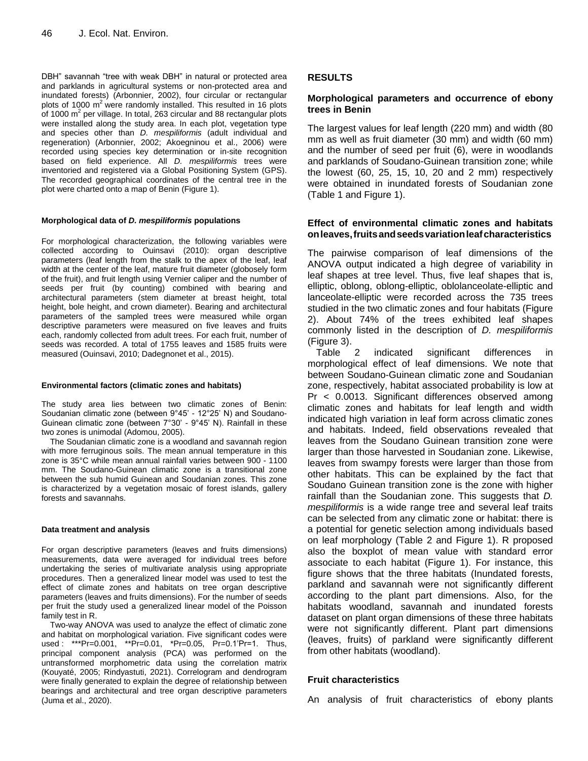DBH" savannah "tree with weak DBH" in natural or protected area and parklands in agricultural systems or non-protected area and inundated forests) (Arbonnier, 2002), four circular or rectangular plots of 1000  $m^2$  were randomly installed. This resulted in 16 plots of 1000  $m^2$  per village. In total, 263 circular and 88 rectangular plots were installed along the study area. In each plot, vegetation type and species other than *D. mespiliformis* (adult individual and regeneration) (Arbonnier, 2002; Akoegninou et al., 2006) were recorded using species key determination or in-site recognition based on field experience. All *D. mespiliformis* trees were inventoried and registered via a Global Positioning System (GPS). The recorded geographical coordinates of the central tree in the plot were charted onto a map of Benin (Figure 1).

#### **Morphological data of** *D. mespiliformis* **populations**

For morphological characterization, the following variables were collected according to Ouinsavi (2010): organ descriptive parameters (leaf length from the stalk to the apex of the leaf, leaf width at the center of the leaf, mature fruit diameter (globosely form of the fruit), and fruit length using Vernier caliper and the number of seeds per fruit (by counting) combined with bearing and architectural parameters (stem diameter at breast height, total height, bole height, and crown diameter). Bearing and architectural parameters of the sampled trees were measured while organ descriptive parameters were measured on five leaves and fruits each, randomly collected from adult trees. For each fruit, number of seeds was recorded. A total of 1755 leaves and 1585 fruits were measured (Ouinsavi, 2010; Dadegnonet et al., 2015).

#### **Environmental factors (climatic zones and habitats)**

The study area lies between two climatic zones of Benin: Soudanian climatic zone (between 9°45' - 12°25' N) and Soudano-Guinean climatic zone (between 7°30' - 9°45' N). Rainfall in these two zones is unimodal (Adomou, 2005).

The Soudanian climatic zone is a woodland and savannah region with more ferruginous soils. The mean annual temperature in this zone is 35°C while mean annual rainfall varies between 900 - 1100 mm. The Soudano-Guinean climatic zone is a transitional zone between the sub humid Guinean and Soudanian zones. This zone is characterized by a vegetation mosaic of forest islands, gallery forests and savannahs.

#### **Data treatment and analysis**

For organ descriptive parameters (leaves and fruits dimensions) measurements, data were averaged for individual trees before undertaking the series of multivariate analysis using appropriate procedures. Then a generalized linear model was used to test the effect of climate zones and habitats on tree organ descriptive parameters (leaves and fruits dimensions). For the number of seeds per fruit the study used a generalized linear model of the Poisson family test in R.

Two-way ANOVA was used to analyze the effect of climatic zone and habitat on morphological variation. Five significant codes were used : \*\*\*Pr=0.001, \*\*Pr=0.01, \*Pr=0.05, Pr=0.1'Pr=1. Thus, principal component analysis (PCA) was performed on the untransformed morphometric data using the correlation matrix (Kouyaté, 2005; Rindyastuti, 2021). Correlogram and dendrogram were finally generated to explain the degree of relationship between bearings and architectural and tree organ descriptive parameters (Juma et al., 2020).

## **RESULTS**

# **Morphological parameters and occurrence of ebony trees in Benin**

The largest values for leaf length (220 mm) and width (80 mm as well as fruit diameter (30 mm) and width (60 mm) and the number of seed per fruit (6), were in woodlands and parklands of Soudano-Guinean transition zone; while the lowest (60, 25, 15, 10, 20 and 2 mm) respectively were obtained in inundated forests of Soudanian zone (Table 1 and Figure 1).

## **Effect of environmental climatic zones and habitats onleaves,fruitsandseedsvariationleafcharacteristics**

The pairwise comparison of leaf dimensions of the ANOVA output indicated a high degree of variability in leaf shapes at tree level. Thus, five leaf shapes that is, elliptic, oblong, oblong-elliptic, oblolanceolate-elliptic and lanceolate-elliptic were recorded across the 735 trees studied in the two climatic zones and four habitats (Figure 2). About 74% of the trees exhibited leaf shapes commonly listed in the description of *D. mespiliformis* (Figure 3).

Table 2 indicated significant differences in morphological effect of leaf dimensions. We note that between Soudano-Guinean climatic zone and Soudanian zone, respectively, habitat associated probability is low at Pr < 0.0013. Significant differences observed among climatic zones and habitats for leaf length and width indicated high variation in leaf form across climatic zones and habitats. Indeed, field observations revealed that leaves from the Soudano Guinean transition zone were larger than those harvested in Soudanian zone. Likewise, leaves from swampy forests were larger than those from other habitats. This can be explained by the fact that Soudano Guinean transition zone is the zone with higher rainfall than the Soudanian zone. This suggests that *D. mespiliformis* is a wide range tree and several leaf traits can be selected from any climatic zone or habitat: there is a potential for genetic selection among individuals based on leaf morphology (Table 2 and Figure 1). R proposed also the boxplot of mean value with standard error associate to each habitat (Figure 1). For instance, this figure shows that the three habitats (Inundated forests, parkland and savannah were not significantly different according to the plant part dimensions. Also, for the habitats woodland, savannah and inundated forests dataset on plant organ dimensions of these three habitats were not significantly different. Plant part dimensions (leaves, fruits) of parkland were significantly different from other habitats (woodland).

## **Fruit characteristics**

An analysis of fruit characteristics of ebony plants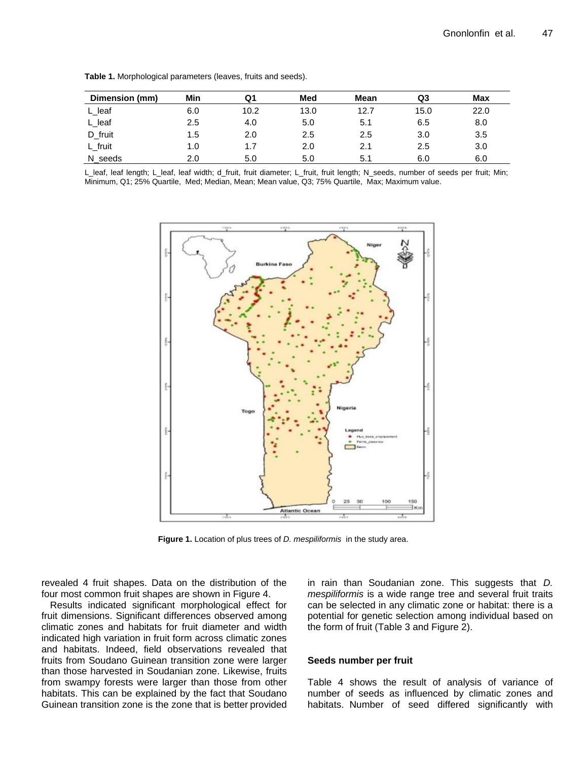| Dimension (mm) | Min | Q1   | Med  | Mean | Q3   | Max  |
|----------------|-----|------|------|------|------|------|
| L leaf         | 6.0 | 10.2 | 13.0 | 12.7 | 15.0 | 22.0 |
| L_leaf         | 2.5 | 4.0  | 5.0  | 5.1  | 6.5  | 8.0  |
| D_fruit        | 1.5 | 2.0  | 2.5  | 2.5  | 3.0  | 3.5  |
| L_fruit        | 1.0 | 1.7  | 2.0  | 2.1  | 2.5  | 3.0  |
| N seeds        | 2.0 | 5.0  | 5.0  | 5.1  | 6.0  | 6.0  |

**Table 1.** Morphological parameters (leaves, fruits and seeds).

L\_leaf, leaf length; L\_leaf, leaf width; d\_fruit, fruit diameter; L\_fruit, fruit length; N\_seeds, number of seeds per fruit; Min; Minimum, Q1; 25% Quartile, Med; Median, Mean; Mean value, Q3; 75% Quartile, Max; Maximum value.



**Figure 1.** Location of plus trees of *D. mespiliformis* in the study area.

revealed 4 fruit shapes. Data on the distribution of the four most common fruit shapes are shown in Figure 4.

Results indicated significant morphological effect for fruit dimensions. Significant differences observed among climatic zones and habitats for fruit diameter and width indicated high variation in fruit form across climatic zones and habitats. Indeed, field observations revealed that fruits from Soudano Guinean transition zone were larger than those harvested in Soudanian zone. Likewise, fruits from swampy forests were larger than those from other habitats. This can be explained by the fact that Soudano Guinean transition zone is the zone that is better provided

in rain than Soudanian zone. This suggests that *D. mespiliformis* is a wide range tree and several fruit traits can be selected in any climatic zone or habitat: there is a potential for genetic selection among individual based on the form of fruit (Table 3 and Figure 2).

#### **Seeds number per fruit**

Table 4 shows the result of analysis of variance of number of seeds as influenced by climatic zones and habitats. Number of seed differed significantly with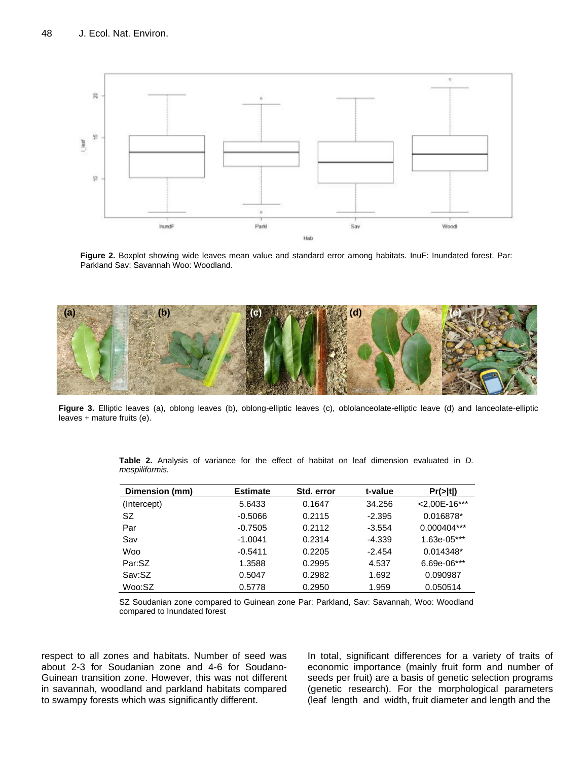

**Figure 2.** Boxplot showing wide leaves mean value and standard error among habitats. InuF: Inundated forest. Par: Parkland Sav: Savannah Woo: Woodland.



Figure 3. Elliptic leaves (a), oblong leaves (b), oblong-elliptic leaves (c), oblolanceolate-elliptic leave (d) and lanceolate-elliptic leaves + mature fruits (e).

| Dimension (mm) | <b>Estimate</b> | Std. error | t-value  | Pr(> t )        |
|----------------|-----------------|------------|----------|-----------------|
| (Intercept)    | 5.6433          | 0.1647     | 34.256   | $<$ 2,00E-16*** |
| SZ.            | $-0.5066$       | 0.2115     | $-2.395$ | 0.016878*       |
| Par            | $-0.7505$       | 0.2112     | $-3.554$ | 0.000404***     |
| Sav            | $-1.0041$       | 0.2314     | $-4.339$ | 1.63e-05***     |
| Woo            | $-0.5411$       | 0.2205     | $-2.454$ | $0.014348*$     |
| Par:SZ         | 1.3588          | 0.2995     | 4.537    | 6.69e-06***     |
| Sav:SZ         | 0.5047          | 0.2982     | 1.692    | 0.090987        |
| Woo:SZ         | 0.5778          | 0.2950     | 1.959    | 0.050514        |

**Table 2.** Analysis of variance for the effect of habitat on leaf dimension evaluated in *D. mespiliformis.*

SZ Soudanian zone compared to Guinean zone Par: Parkland, Sav: Savannah, Woo: Woodland compared to Inundated forest

respect to all zones and habitats. Number of seed was about 2-3 for Soudanian zone and 4-6 for Soudano-Guinean transition zone. However, this was not different in savannah, woodland and parkland habitats compared to swampy forests which was significantly different.

In total, significant differences for a variety of traits of economic importance (mainly fruit form and number of seeds per fruit) are a basis of genetic selection programs (genetic research). For the morphological parameters (leaf length and width, fruit diameter and length and the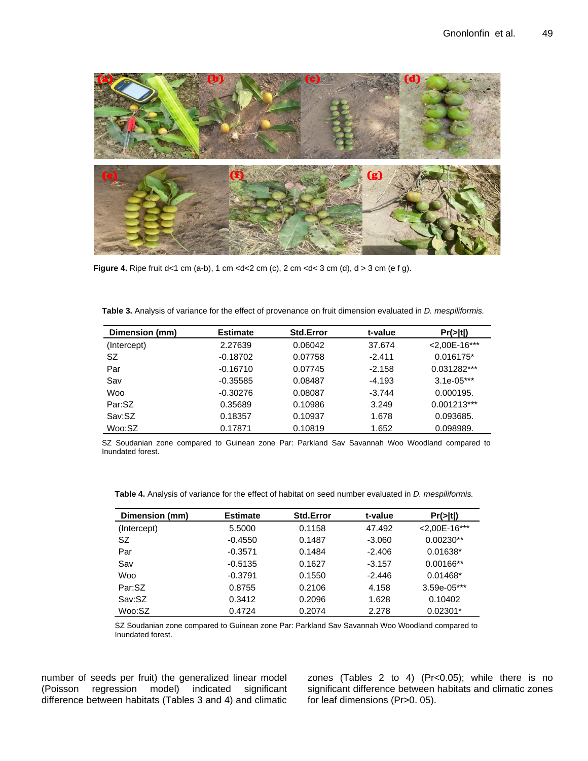

**Figure 4.** Ripe fruit  $d < 1$  cm  $(a-b)$ , 1 cm  $cm  $(c)$ , 2 cm  $cm  $(d)$ ,  $d > 3$  cm  $(e f g)$ .$$ 

| Dimension (mm) | <b>Estimate</b> | <b>Std.Error</b> | t-value  | Pr(> t )        |
|----------------|-----------------|------------------|----------|-----------------|
| (Intercept)    | 2.27639         | 0.06042          | 37.674   | $<$ 2,00E-16*** |
| SZ             | $-0.18702$      | 0.07758          | $-2.411$ | 0.016175*       |
| Par            | $-0.16710$      | 0.07745          | $-2.158$ | 0.031282***     |
| Sav            | $-0.35585$      | 0.08487          | $-4.193$ | $3.1e-05***$    |
| Woo            | $-0.30276$      | 0.08087          | $-3.744$ | 0.000195.       |
| Par:SZ         | 0.35689         | 0.10986          | 3.249    | $0.001213***$   |
| Sav:SZ         | 0.18357         | 0.10937          | 1.678    | 0.093685.       |
| Woo:SZ         | 0.17871         | 0.10819          | 1.652    | 0.098989.       |

**Table 3.** Analysis of variance for the effect of provenance on fruit dimension evaluated in *D. mespiliformis.*

SZ Soudanian zone compared to Guinean zone Par: Parkland Sav Savannah Woo Woodland compared to Inundated forest.

**Table 4.** Analysis of variance for the effect of habitat on seed number evaluated in *D. mespiliformis.*

| Dimension (mm) | <b>Estimate</b> | <b>Std.Error</b> | t-value  | Pr(> t )        |
|----------------|-----------------|------------------|----------|-----------------|
| (Intercept)    | 5.5000          | 0.1158           | 47.492   | $<$ 2,00E-16*** |
| <b>SZ</b>      | $-0.4550$       | 0.1487           | $-3.060$ | $0.00230**$     |
| Par            | $-0.3571$       | 0.1484           | $-2.406$ | 0.01638*        |
| Sav            | $-0.5135$       | 0.1627           | $-3.157$ | $0.00166**$     |
| Woo            | $-0.3791$       | 0.1550           | $-2.446$ | $0.01468*$      |
| Par:SZ         | 0.8755          | 0.2106           | 4.158    | 3.59e-05***     |
| Sav:SZ         | 0.3412          | 0.2096           | 1.628    | 0.10402         |
| Woo:SZ         | 0.4724          | 0.2074           | 2.278    | $0.02301*$      |

SZ Soudanian zone compared to Guinean zone Par: Parkland Sav Savannah Woo Woodland compared to Inundated forest.

number of seeds per fruit) the generalized linear model (Poisson regression model) indicated significant difference between habitats (Tables 3 and 4) and climatic

zones (Tables 2 to 4) (Pr<0.05); while there is no significant difference between habitats and climatic zones for leaf dimensions (Pr>0. 05).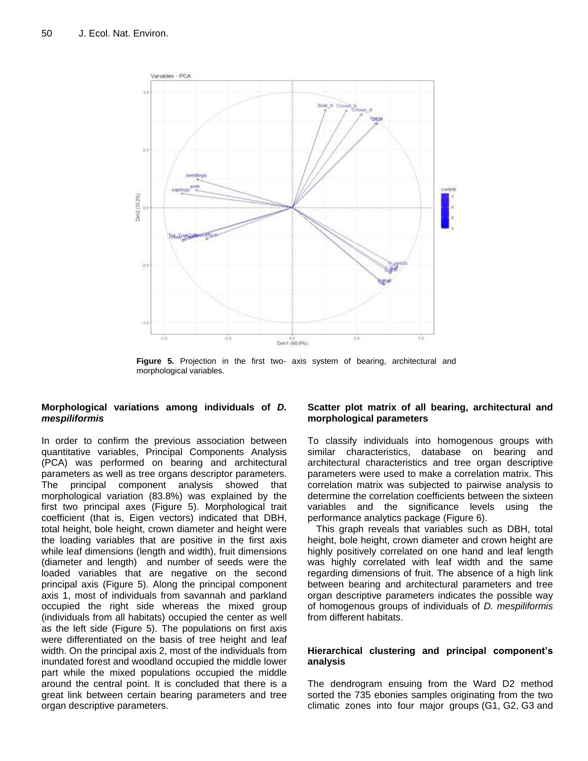

**Figure 5.** Projection in the first two- axis system of bearing, architectural and morphological variables.

## **Morphological variations among individuals of** *D. mespiliformis*

In order to confirm the previous association between quantitative variables, Principal Components Analysis (PCA) was performed on bearing and architectural parameters as well as tree organs descriptor parameters. The principal component analysis showed that morphological variation (83.8%) was explained by the first two principal axes (Figure 5). Morphological trait coefficient (that is, Eigen vectors) indicated that DBH, total height, bole height, crown diameter and height were the loading variables that are positive in the first axis while leaf dimensions (length and width), fruit dimensions (diameter and length) and number of seeds were the loaded variables that are negative on the second principal axis (Figure 5). Along the principal component axis 1, most of individuals from savannah and parkland occupied the right side whereas the mixed group (individuals from all habitats) occupied the center as well as the left side (Figure 5). The populations on first axis were differentiated on the basis of tree height and leaf width. On the principal axis 2, most of the individuals from inundated forest and woodland occupied the middle lower part while the mixed populations occupied the middle around the central point. It is concluded that there is a great link between certain bearing parameters and tree organ descriptive parameters.

## **Scatter plot matrix of all bearing, architectural and morphological parameters**

To classify individuals into homogenous groups with similar characteristics, database on bearing and architectural characteristics and tree organ descriptive parameters were used to make a correlation matrix. This correlation matrix was subjected to pairwise analysis to determine the correlation coefficients between the sixteen variables and the significance levels using the performance analytics package (Figure 6).

This graph reveals that variables such as DBH, total height, bole height, crown diameter and crown height are highly positively correlated on one hand and leaf length was highly correlated with leaf width and the same regarding dimensions of fruit. The absence of a high link between bearing and architectural parameters and tree organ descriptive parameters indicates the possible way of homogenous groups of individuals of *D. mespiliformis* from different habitats.

## **Hierarchical clustering and principal component's analysis**

The dendrogram ensuing from the Ward D2 method sorted the 735 ebonies samples originating from the two climatic zones into four major groups (G1, G2, G3 and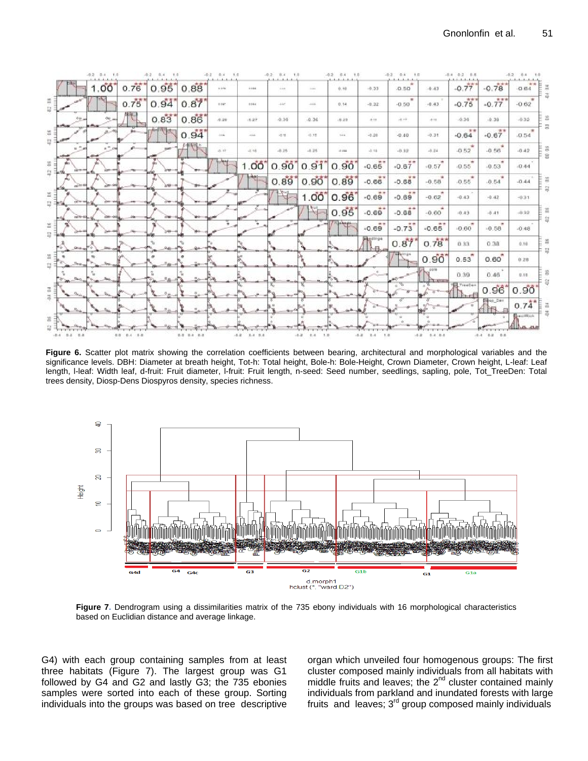

Figure 6. Scatter plot matrix showing the correlation coefficients between bearing, architectural and morphological variables and the significance levels. DBH: Diameter at breath height, Tot-h: Total height, Bole-h: Bole-Height, Crown Diameter, Crown height, L-leaf: Leaf length, l-leaf: Width leaf, d-fruit: Fruit diameter, l-fruit: Fruit length, n-seed: Seed number, seedlings, sapling, pole, Tot\_TreeDen: Total trees density, Diosp-Dens Diospyros density, species richness.



Figure 7: Bendrogram daily a disaminantes main<br>based on Euclidian distance and average linkage. **Figure 7.** Dendrogram using a dissimilarities matrix of the 735 ebony individuals with 16 morphological characteristics

G4) with each group containing samples from at least three habitats (Figure 7). The largest group was G1 followed by G4 and G2 and lastly G3; the 735 ebonies samples were sorted into each of these group. Sorting individuals into the groups was based on tree descriptive organ which unveiled four homogenous groups: The first cluster composed mainly individuals from all habitats with middle fruits and leaves; the  $2^{nd}$  cluster contained mainly individuals from parkland and inundated forests with large fruits and leaves;  $3<sup>rd</sup>$  group composed mainly individuals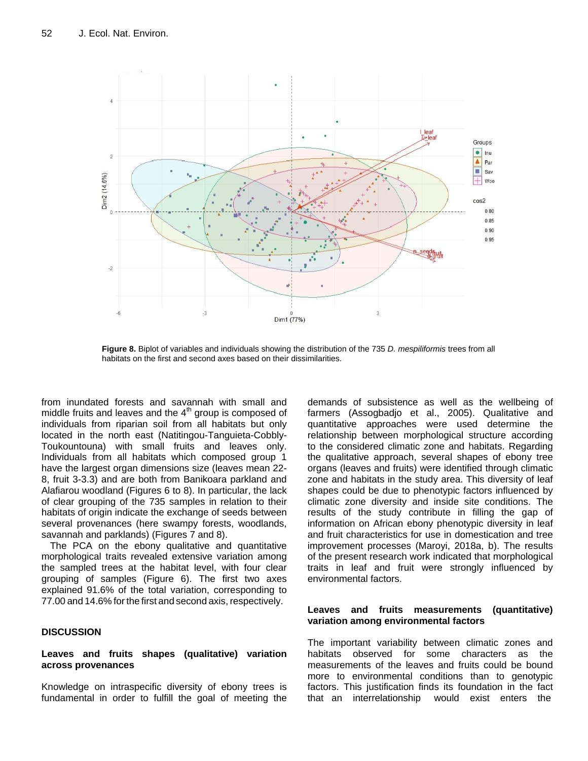

Ligard of the first and second axes based on their dissimilarities. **Figure 8.** Biplot of variables and individuals showing the distribution of the 735 *D. mespiliformis* trees from all

from inundated forests and savannah with small and middle fruits and leaves and the  $4<sup>th</sup>$  group is composed of individuals from riparian soil from all habitats but only located in the north east (Natitingou-Tanguieta-Cobbly-Toukountouna) with small fruits and leaves only. Individuals from all habitats which composed group 1 have the largest organ dimensions size (leaves mean 22- 8, fruit 3-3.3) and are both from Banikoara parkland and Alafiarou woodland (Figures 6 to 8). In particular, the lack of clear grouping of the 735 samples in relation to their habitats of origin indicate the exchange of seeds between several provenances (here swampy forests, woodlands, savannah and parklands) (Figures 7 and 8).

The PCA on the ebony qualitative and quantitative morphological traits revealed extensive variation among the sampled trees at the habitat level, with four clear grouping of samples (Figure 6). The first two axes explained 91.6% of the total variation, corresponding to 77.00 and 14.6% for the first and second axis, respectively.

#### **DISCUSSION**

#### **Leaves and fruits shapes (qualitative) variation across provenances**

Knowledge on intraspecific diversity of ebony trees is fundamental in order to fulfill the goal of meeting the

demands of subsistence as well as the wellbeing of farmers (Assogbadjo et al., 2005). Qualitative and quantitative approaches were used determine the relationship between morphological structure according to the considered climatic zone and habitats. Regarding the qualitative approach, several shapes of ebony tree organs (leaves and fruits) were identified through climatic zone and habitats in the study area. This diversity of leaf shapes could be due to phenotypic factors influenced by climatic zone diversity and inside site conditions. The results of the study contribute in filling the gap of information on African ebony phenotypic diversity in leaf and fruit characteristics for use in domestication and tree improvement processes (Maroyi, 2018a, b). The results of the present research work indicated that morphological traits in leaf and fruit were strongly influenced by environmental factors.

#### **Leaves and fruits measurements (quantitative) variation among environmental factors**

The important variability between climatic zones and habitats observed for some characters as the measurements of the leaves and fruits could be bound more to environmental conditions than to genotypic factors. This justification finds its foundation in the fact that an interrelationship would exist enters the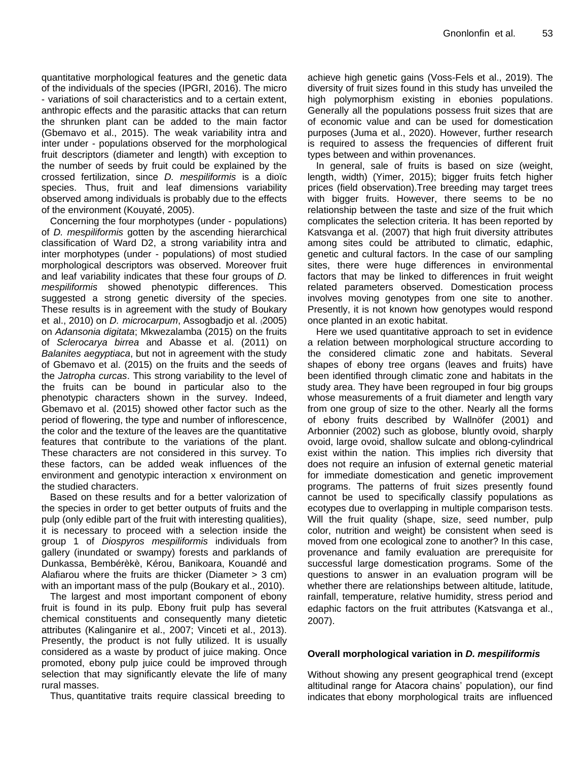quantitative morphological features and the genetic data of the individuals of the species (IPGRI, 2016). The micro - variations of soil characteristics and to a certain extent, anthropic effects and the parasitic attacks that can return the shrunken plant can be added to the main factor (Gbemavo et al., 2015). The weak variability intra and inter under - populations observed for the morphological fruit descriptors (diameter and length) with exception to the number of seeds by fruit could be explained by the crossed fertilization, since *D. mespiliformis* is a dioïc species. Thus, fruit and leaf dimensions variability observed among individuals is probably due to the effects of the environment (Kouyaté, 2005).

Concerning the four morphotypes (under - populations) of *D. mespiliformis* gotten by the ascending hierarchical classification of Ward D2, a strong variability intra and inter morphotypes (under - populations) of most studied morphological descriptors was observed. Moreover fruit and leaf variability indicates that these four groups of *D. mespiliformis* showed phenotypic differences. This suggested a strong genetic diversity of the species. These results is in agreement with the study of Boukary et al., 2010) on *D. microcarpum*, Assogbadjo et al. (2005) on *Adansonia digitata*; Mkwezalamba (2015) on the fruits of *Sclerocarya birrea* and Abasse et al. (2011) on *Balanites aegyptiaca*, but not in agreement with the study of Gbemavo et al. (2015) on the fruits and the seeds of the *Jatropha curcas*. This strong variability to the level of the fruits can be bound in particular also to the phenotypic characters shown in the survey. Indeed, Gbemavo et al. (2015) showed other factor such as the period of flowering, the type and number of inflorescence, the color and the texture of the leaves are the quantitative features that contribute to the variations of the plant. These characters are not considered in this survey. To these factors, can be added weak influences of the environment and genotypic interaction x environment on the studied characters.

Based on these results and for a better valorization of the species in order to get better outputs of fruits and the pulp (only edible part of the fruit with interesting qualities), it is necessary to proceed with a selection inside the group 1 of *Diospyros mespiliformis* individuals from gallery (inundated or swampy) forests and parklands of Dunkassa, Bembérèkè, Kérou, Banikoara, Kouandé and Alafiarou where the fruits are thicker (Diameter > 3 cm) with an important mass of the pulp (Boukary et al., 2010).

The largest and most important component of ebony fruit is found in its pulp. Ebony fruit pulp has several chemical constituents and consequently many dietetic attributes (Kalinganire et al., 2007; Vinceti et al., 2013). Presently, the product is not fully utilized. It is usually considered as a waste by product of juice making. Once promoted, ebony pulp juice could be improved through selection that may significantly elevate the life of many rural masses.

Thus, quantitative traits require classical breeding to

achieve high genetic gains (Voss-Fels et al., 2019). The diversity of fruit sizes found in this study has unveiled the high polymorphism existing in ebonies populations. Generally all the populations possess fruit sizes that are of economic value and can be used for domestication purposes (Juma et al., 2020). However, further research is required to assess the frequencies of different fruit types between and within provenances.

In general, sale of fruits is based on size (weight, length, width) (Yimer, 2015); bigger fruits fetch higher prices (field observation).Tree breeding may target trees with bigger fruits. However, there seems to be no relationship between the taste and size of the fruit which complicates the selection criteria. It has been reported by Katsvanga et al. (2007) that high fruit diversity attributes among sites could be attributed to climatic, edaphic, genetic and cultural factors. In the case of our sampling sites, there were huge differences in environmental factors that may be linked to differences in fruit weight related parameters observed. Domestication process involves moving genotypes from one site to another. Presently, it is not known how genotypes would respond once planted in an exotic habitat.

Here we used quantitative approach to set in evidence a relation between morphological structure according to the considered climatic zone and habitats. Several shapes of ebony tree organs (leaves and fruits) have been identified through climatic zone and habitats in the study area. They have been regrouped in four big groups whose measurements of a fruit diameter and length vary from one group of size to the other. Nearly all the forms of ebony fruits described by Wallnöfer (2001) and Arbonnier (2002) such as globose, bluntly ovoid, sharply ovoid, large ovoid, shallow sulcate and oblong-cylindrical exist within the nation. This implies rich diversity that does not require an infusion of external genetic material for immediate domestication and genetic improvement programs. The patterns of fruit sizes presently found cannot be used to specifically classify populations as ecotypes due to overlapping in multiple comparison tests. Will the fruit quality (shape, size, seed number, pulp color, nutrition and weight) be consistent when seed is moved from one ecological zone to another? In this case, provenance and family evaluation are prerequisite for successful large domestication programs. Some of the questions to answer in an evaluation program will be whether there are relationships between altitude, latitude, rainfall, temperature, relative humidity, stress period and edaphic factors on the fruit attributes (Katsvanga et al., 2007).

# **Overall morphological variation in** *D. mespiliformis*

Without showing any present geographical trend (except altitudinal range for Atacora chains' population), our find indicates that ebony morphological traits are influenced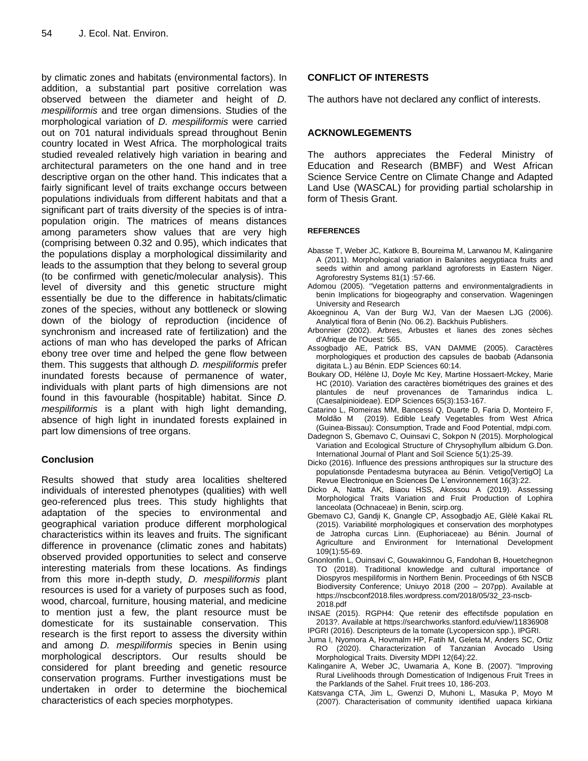by climatic zones and habitats (environmental factors). In addition, a substantial part positive correlation was observed between the diameter and height of *D. mespiliformis* and tree organ dimensions. Studies of the morphological variation of *D. mespiliformis* were carried out on 701 natural individuals spread throughout Benin country located in West Africa. The morphological traits studied revealed relatively high variation in bearing and architectural parameters on the one hand and in tree descriptive organ on the other hand. This indicates that a fairly significant level of traits exchange occurs between populations individuals from different habitats and that a significant part of traits diversity of the species is of intrapopulation origin. The matrices of means distances among parameters show values that are very high (comprising between 0.32 and 0.95), which indicates that the populations display a morphological dissimilarity and leads to the assumption that they belong to several group (to be confirmed with genetic/molecular analysis). This level of diversity and this genetic structure might essentially be due to the difference in habitats/climatic zones of the species, without any bottleneck or slowing down of the biology of reproduction (incidence of synchronism and increased rate of fertilization) and the actions of man who has developed the parks of African ebony tree over time and helped the gene flow between them. This suggests that although *D. mespiliformis* prefer inundated forests because of permanence of water, individuals with plant parts of high dimensions are not found in this favourable (hospitable) habitat. Since *D. mespiliformis* is a plant with high light demanding, absence of high light in inundated forests explained in part low dimensions of tree organs.

# **Conclusion**

Results showed that study area localities sheltered individuals of interested phenotypes (qualities) with well geo-referenced plus trees. This study highlights that adaptation of the species to environmental and geographical variation produce different morphological characteristics within its leaves and fruits. The significant difference in provenance (climatic zones and habitats) observed provided opportunities to select and conserve interesting materials from these locations. As findings from this more in-depth study, *D. mespiliformis* plant resources is used for a variety of purposes such as food, wood, charcoal, furniture, housing material, and medicine to mention just a few, the plant resource must be domesticate for its sustainable conservation. This research is the first report to assess the diversity within and among *D. mespiliformis* species in Benin using morphological descriptors. Our results should be considered for plant breeding and genetic resource conservation programs. Further investigations must be undertaken in order to determine the biochemical characteristics of each species morphotypes.

## **CONFLICT OF INTERESTS**

The authors have not declared any conflict of interests.

# **ACKNOWLEGEMENTS**

The authors appreciates the Federal Ministry of Education and Research (BMBF) and West African Science Service Centre on Climate Change and Adapted Land Use (WASCAL) for providing partial scholarship in form of Thesis Grant.

## **REFERENCES**

- Abasse T, Weber JC, Katkore B, Boureima M, Larwanou M, Kalinganire A (2011). Morphological variation in Balanites aegyptiaca fruits and seeds within and among parkland agroforests in Eastern Niger. Agroforestry Systems 81(1) :57-66.
- Adomou (2005). "Vegetation patterns and environmentalgradients in benin Implications for biogeography and conservation. Wageningen University and Research
- Akoegninou A, Van der Burg WJ, Van der Maesen LJG (2006). Analytical flora of Benin (No. 06.2). Backhuis Publishers.
- Arbonnier (2002). Arbres, Arbustes et lianes des zones sèches d'Afrique de l'Ouest: 565.
- Assogbadjo AE, Patrick BS, VAN DAMME (2005). Caractères morphologiques et production des capsules de baobab (Adansonia digitata L.) au Bénin. EDP Sciences 60:14.
- Boukary OD, Hélène IJ, Doyle Mc Key, Martine Hossaert-Mckey, Marie HC (2010). Variation des caractères biométriques des graines et des plantules de neuf provenances de Tamarindus indica L. .<br>(Caesalpinioideae). EDP Sciences 65(3):153-167.
- Catarino L, Romeiras MM, Bancessi Q, Duarte D, Faria D, Monteiro F, Moldão M (2019). Edible Leafy Vegetables from West Africa (Guinea-Bissau): Consumption, Trade and Food Potential, mdpi.com.
- Dadegnon S, Gbemavo C, Ouinsavi C, Sokpon N (2015). Morphological Variation and Ecological Structure of Chrysophyllum albidum G.Don. International Journal of Plant and Soil Science 5(1):25-39.
- Dicko (2016). Influence des pressions anthropiques sur la structure des populationsde Pentadesma butyracea au Bénin. Vetigo[VertigO] La Revue Electronique en Sciences De L'environnement 16(3):22.
- Dicko A, Natta AK, Biaou HSS, Akossou A (2019). Assessing Morphological Traits Variation and Fruit Production of Lophira lanceolata (Ochnaceae) in Benin, scirp.org.
- Gbemavo CJ, Gandji K, Gnangle CP, Assogbadjo AE, Glèlè Kakaï RL (2015). Variabilité morphologiques et conservation des morphotypes de Jatropha curcas Linn. (Euphoriaceae) au Bénin. Journal of Agriculture and Environment for International Development 109(1):55-69.
- Gnonlonfin L, Ouinsavi C, Gouwakinnou G, Fandohan B, Houetchegnon TO (2018). Traditional knowledge and cultural importance of Diospyros mespiliformis in Northern Benin. Proceedings of 6th NSCB Biodiversity Conference; Uniuyo 2018 (200 – 207pp). Available at https://nscbconf2018.files.wordpress.com/2018/05/32\_23-nscb-2018.pdf
- INSAE (2015). RGPH4: Que retenir des effectifsde population en 2013?. Available at https://searchworks.stanford.edu/view/11836908
- IPGRI (2016). Descripteurs de la tomate (Lycopersicon spp.), IPGRI.
- Juma I, Nyomora A, Hovmalm HP, Fatih M, Geleta M, Anders SC, Ortiz RO (2020). Characterization of Tanzanian Avocado Using Morphological Traits. Diversity MDPI 12(64):22.
- Kalinganire A, Weber JC, Uwamaria A, Kone B. (2007). "Improving Rural Livelihoods through Domestication of Indigenous Fruit Trees in the Parklands of the Sahel. Fruit trees 10, 186-203.
- Katsvanga CTA, Jim L, Gwenzi D, Muhoni L, Masuka P, Moyo M (2007). Characterisation of community identified uapaca kirkiana